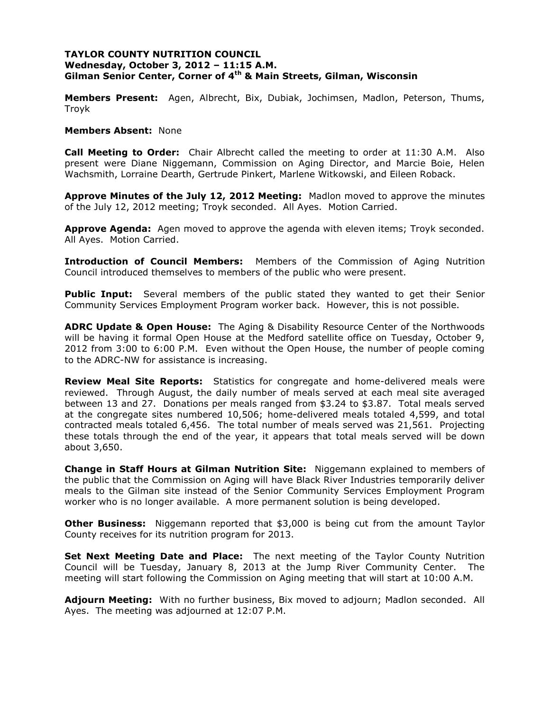## **TAYLOR COUNTY NUTRITION COUNCIL Wednesday, October 3, 2012 – 11:15 A.M. Gilman Senior Center, Corner of 4th & Main Streets, Gilman, Wisconsin**

**Members Present:** Agen, Albrecht, Bix, Dubiak, Jochimsen, Madlon, Peterson, Thums, Troyk

#### **Members Absent:** None

**Call Meeting to Order:** Chair Albrecht called the meeting to order at 11:30 A.M. Also present were Diane Niggemann, Commission on Aging Director, and Marcie Boie, Helen Wachsmith, Lorraine Dearth, Gertrude Pinkert, Marlene Witkowski, and Eileen Roback.

**Approve Minutes of the July 12, 2012 Meeting:** Madlon moved to approve the minutes of the July 12, 2012 meeting; Troyk seconded. All Ayes. Motion Carried.

**Approve Agenda:** Agen moved to approve the agenda with eleven items; Troyk seconded. All Ayes. Motion Carried.

**Introduction of Council Members:** Members of the Commission of Aging Nutrition Council introduced themselves to members of the public who were present.

**Public Input:** Several members of the public stated they wanted to get their Senior Community Services Employment Program worker back. However, this is not possible.

**ADRC Update & Open House:** The Aging & Disability Resource Center of the Northwoods will be having it formal Open House at the Medford satellite office on Tuesday, October 9, 2012 from 3:00 to 6:00 P.M. Even without the Open House, the number of people coming to the ADRC-NW for assistance is increasing.

**Review Meal Site Reports:** Statistics for congregate and home-delivered meals were reviewed. Through August, the daily number of meals served at each meal site averaged between 13 and 27. Donations per meals ranged from \$3.24 to \$3.87. Total meals served at the congregate sites numbered 10,506; home-delivered meals totaled 4,599, and total contracted meals totaled 6,456. The total number of meals served was 21,561. Projecting these totals through the end of the year, it appears that total meals served will be down about 3,650.

**Change in Staff Hours at Gilman Nutrition Site:** Niggemann explained to members of the public that the Commission on Aging will have Black River Industries temporarily deliver meals to the Gilman site instead of the Senior Community Services Employment Program worker who is no longer available. A more permanent solution is being developed.

**Other Business:** Niggemann reported that \$3,000 is being cut from the amount Taylor County receives for its nutrition program for 2013.

**Set Next Meeting Date and Place:** The next meeting of the Taylor County Nutrition Council will be Tuesday, January 8, 2013 at the Jump River Community Center. The meeting will start following the Commission on Aging meeting that will start at 10:00 A.M.

**Adjourn Meeting:** With no further business, Bix moved to adjourn; Madlon seconded. All Ayes. The meeting was adjourned at 12:07 P.M.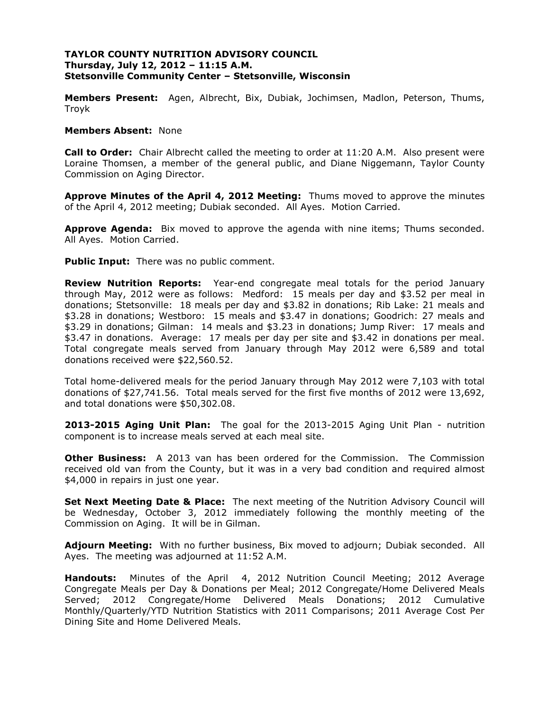## **TAYLOR COUNTY NUTRITION ADVISORY COUNCIL Thursday, July 12, 2012 – 11:15 A.M. Stetsonville Community Center – Stetsonville, Wisconsin**

**Members Present:** Agen, Albrecht, Bix, Dubiak, Jochimsen, Madlon, Peterson, Thums, Troyk

#### **Members Absent:** None

**Call to Order:** Chair Albrecht called the meeting to order at 11:20 A.M. Also present were Loraine Thomsen, a member of the general public, and Diane Niggemann, Taylor County Commission on Aging Director.

**Approve Minutes of the April 4, 2012 Meeting:** Thums moved to approve the minutes of the April 4, 2012 meeting; Dubiak seconded. All Ayes. Motion Carried.

**Approve Agenda:** Bix moved to approve the agenda with nine items; Thums seconded. All Ayes. Motion Carried.

**Public Input:** There was no public comment.

**Review Nutrition Reports:** Year-end congregate meal totals for the period January through May, 2012 were as follows: Medford: 15 meals per day and \$3.52 per meal in donations; Stetsonville: 18 meals per day and \$3.82 in donations; Rib Lake: 21 meals and \$3.28 in donations; Westboro: 15 meals and \$3.47 in donations; Goodrich: 27 meals and \$3.29 in donations; Gilman: 14 meals and \$3.23 in donations; Jump River: 17 meals and \$3.47 in donations. Average: 17 meals per day per site and \$3.42 in donations per meal. Total congregate meals served from January through May 2012 were 6,589 and total donations received were \$22,560.52.

Total home-delivered meals for the period January through May 2012 were 7,103 with total donations of \$27,741.56. Total meals served for the first five months of 2012 were 13,692, and total donations were \$50,302.08.

**2013-2015 Aging Unit Plan:** The goal for the 2013-2015 Aging Unit Plan - nutrition component is to increase meals served at each meal site.

**Other Business:** A 2013 van has been ordered for the Commission. The Commission received old van from the County, but it was in a very bad condition and required almost \$4,000 in repairs in just one year.

**Set Next Meeting Date & Place:** The next meeting of the Nutrition Advisory Council will be Wednesday, October 3, 2012 immediately following the monthly meeting of the Commission on Aging. It will be in Gilman.

**Adjourn Meeting:** With no further business, Bix moved to adjourn; Dubiak seconded. All Ayes. The meeting was adjourned at 11:52 A.M.

**Handouts:** Minutes of the April 4, 2012 Nutrition Council Meeting; 2012 Average Congregate Meals per Day & Donations per Meal; 2012 Congregate/Home Delivered Meals Served; 2012 Congregate/Home Delivered Meals Donations; 2012 Cumulative Monthly/Quarterly/YTD Nutrition Statistics with 2011 Comparisons; 2011 Average Cost Per Dining Site and Home Delivered Meals.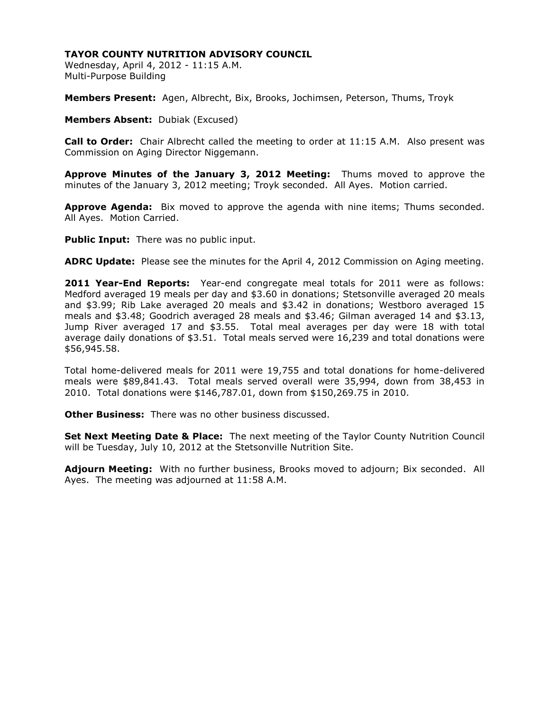# **TAYOR COUNTY NUTRITION ADVISORY COUNCIL**

Wednesday, April 4, 2012 - 11:15 A.M. Multi-Purpose Building

**Members Present:** Agen, Albrecht, Bix, Brooks, Jochimsen, Peterson, Thums, Troyk

**Members Absent:** Dubiak (Excused)

**Call to Order:** Chair Albrecht called the meeting to order at 11:15 A.M. Also present was Commission on Aging Director Niggemann.

**Approve Minutes of the January 3, 2012 Meeting:** Thums moved to approve the minutes of the January 3, 2012 meeting; Troyk seconded. All Ayes. Motion carried.

**Approve Agenda:** Bix moved to approve the agenda with nine items; Thums seconded. All Ayes. Motion Carried.

**Public Input:** There was no public input.

**ADRC Update:** Please see the minutes for the April 4, 2012 Commission on Aging meeting.

**2011 Year-End Reports:** Year-end congregate meal totals for 2011 were as follows: Medford averaged 19 meals per day and \$3.60 in donations; Stetsonville averaged 20 meals and \$3.99; Rib Lake averaged 20 meals and \$3.42 in donations; Westboro averaged 15 meals and \$3.48; Goodrich averaged 28 meals and \$3.46; Gilman averaged 14 and \$3.13, Jump River averaged 17 and \$3.55. Total meal averages per day were 18 with total average daily donations of \$3.51. Total meals served were 16,239 and total donations were \$56,945.58.

Total home-delivered meals for 2011 were 19,755 and total donations for home-delivered meals were \$89,841.43. Total meals served overall were 35,994, down from 38,453 in 2010. Total donations were \$146,787.01, down from \$150,269.75 in 2010.

**Other Business:** There was no other business discussed.

**Set Next Meeting Date & Place:** The next meeting of the Taylor County Nutrition Council will be Tuesday, July 10, 2012 at the Stetsonville Nutrition Site.

**Adjourn Meeting:** With no further business, Brooks moved to adjourn; Bix seconded. All Ayes. The meeting was adjourned at 11:58 A.M.